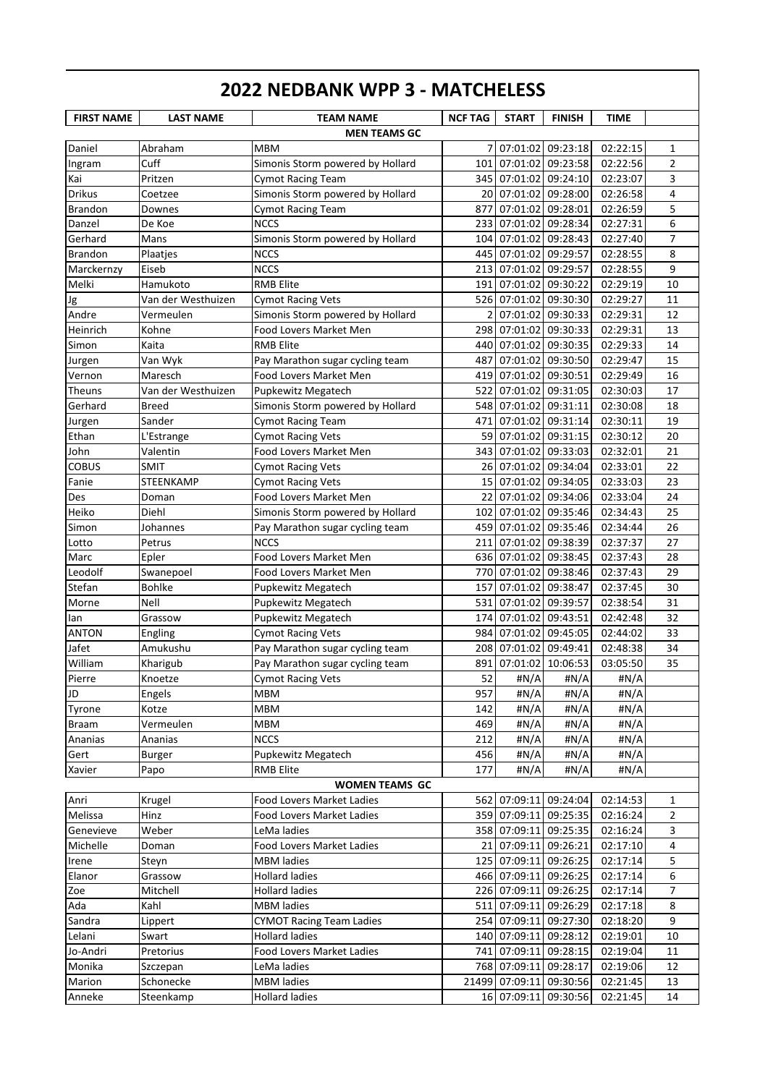| <b>FIRST NAME</b> | <b>LAST NAME</b>   | <b>TEAM NAME</b>                 | <b>NCF TAG</b> | <b>START</b>            | <b>FINISH</b>         | <b>TIME</b> |                |
|-------------------|--------------------|----------------------------------|----------------|-------------------------|-----------------------|-------------|----------------|
|                   |                    | <b>MEN TEAMS GC</b>              |                |                         |                       |             |                |
| Daniel            | Abraham            | <b>MBM</b>                       | 71             | 07:01:02 09:23:18       |                       | 02:22:15    | 1              |
| Ingram            | Cuff               | Simonis Storm powered by Hollard | 101            | 07:01:02 09:23:58       |                       | 02:22:56    | $\overline{2}$ |
| Kai               | Pritzen            | <b>Cymot Racing Team</b>         |                | 345 07:01:02 09:24:10   |                       | 02:23:07    | 3              |
| <b>Drikus</b>     | Coetzee            | Simonis Storm powered by Hollard |                | 20 07:01:02 09:28:00    |                       | 02:26:58    | $\overline{4}$ |
| <b>Brandon</b>    | Downes             | <b>Cymot Racing Team</b>         | 877            | 07:01:02 09:28:01       |                       | 02:26:59    | 5              |
| Danzel            | De Koe             | <b>NCCS</b>                      | 233            | 07:01:02 09:28:34       |                       | 02:27:31    | 6              |
| Gerhard           | Mans               | Simonis Storm powered by Hollard | 104            | 07:01:02 09:28:43       |                       | 02:27:40    | $\overline{7}$ |
| <b>Brandon</b>    | Plaatjes           | <b>NCCS</b>                      | 445            | 07:01:02 09:29:57       |                       | 02:28:55    | 8              |
| Marckernzy        | Eiseb              | <b>NCCS</b>                      | 213            | 07:01:02 09:29:57       |                       | 02:28:55    | 9              |
| Melki             | Hamukoto           | <b>RMB Elite</b>                 | 191            | 07:01:02 09:30:22       |                       | 02:29:19    | 10             |
| Jg                | Van der Westhuizen | <b>Cymot Racing Vets</b>         |                | 526 07:01:02 09:30:30   |                       | 02:29:27    | 11             |
| Andre             | Vermeulen          | Simonis Storm powered by Hollard | 2              | 07:01:02 09:30:33       |                       | 02:29:31    | 12             |
| Heinrich          | Kohne              | Food Lovers Market Men           | 298            | 07:01:02 09:30:33       |                       | 02:29:31    | 13             |
| Simon             | Kaita              | <b>RMB Elite</b>                 | 440            | 07:01:02 09:30:35       |                       | 02:29:33    | 14             |
| Jurgen            | Van Wyk            | Pay Marathon sugar cycling team  | 487            | 07:01:02 09:30:50       |                       | 02:29:47    | 15             |
| Vernon            | Maresch            | Food Lovers Market Men           | 419            | 07:01:02 09:30:51       |                       | 02:29:49    | 16             |
| Theuns            | Van der Westhuizen | Pupkewitz Megatech               | 522            |                         | 07:01:02 09:31:05     | 02:30:03    | 17             |
| Gerhard           | Breed              | Simonis Storm powered by Hollard | 548            | 07:01:02 09:31:11       |                       | 02:30:08    | 18             |
| Jurgen            | Sander             | <b>Cymot Racing Team</b>         | 471            |                         | 07:01:02 09:31:14     | 02:30:11    | 19             |
| Ethan             | L'Estrange         | <b>Cymot Racing Vets</b>         | 59             |                         | 07:01:02 09:31:15     | 02:30:12    | 20             |
| John              | Valentin           | Food Lovers Market Men           | 343            |                         | 07:01:02 09:33:03     | 02:32:01    | 21             |
| <b>COBUS</b>      | SMIT               | <b>Cymot Racing Vets</b>         | 26             | 07:01:02 09:34:04       |                       | 02:33:01    | 22             |
| Fanie             | STEENKAMP          | <b>Cymot Racing Vets</b>         | 15             | 07:01:02 09:34:05       |                       | 02:33:03    | 23             |
| Des               | Doman              | Food Lovers Market Men           | 22             |                         | 07:01:02 09:34:06     | 02:33:04    | 24             |
| Heiko             | Diehl              | Simonis Storm powered by Hollard | 102            |                         | 07:01:02 09:35:46     | 02:34:43    | 25             |
| Simon             | Johannes           | Pay Marathon sugar cycling team  | 459            | 07:01:02                | 09:35:46              | 02:34:44    | 26             |
| Lotto             | Petrus             | <b>NCCS</b>                      | 211            | 07:01:02                | 09:38:39              | 02:37:37    | 27             |
| Marc              | Epler              | <b>Food Lovers Market Men</b>    |                | 636 07:01:02 09:38:45   |                       | 02:37:43    | 28             |
| Leodolf           | Swanepoel          | Food Lovers Market Men           |                | 770 07:01:02 09:38:46   |                       | 02:37:43    | 29             |
| Stefan            | <b>Bohlke</b>      | Pupkewitz Megatech               | 157            | 07:01:02 09:38:47       |                       | 02:37:45    | 30             |
| Morne             | Nell               | Pupkewitz Megatech               | 531            | 07:01:02 09:39:57       |                       | 02:38:54    | 31             |
| lan               | Grassow            | Pupkewitz Megatech               | 174            | 07:01:02 09:43:51       |                       | 02:42:48    | 32             |
| <b>ANTON</b>      | Engling            | <b>Cymot Racing Vets</b>         | 984            | 07:01:02 09:45:05       |                       | 02:44:02    | 33             |
| Jafet             | Amukushu           | Pay Marathon sugar cycling team  |                | 208 07:01:02 09:49:41   |                       | 02:48:38    | 34             |
| William           | Kharigub           | Pay Marathon sugar cycling team  |                |                         | 891 07:01:02 10:06:53 | 03:05:50    | 35             |
| Pierre            | Knoetze            | <b>Cymot Racing Vets</b>         | 52             | #N/A                    | #N/A                  | #N/A        |                |
| JD                | <b>Engels</b>      | MBM                              | 957            | #N/A                    | #N/A                  | H N/A       |                |
| Tyrone            | Kotze              | MBM                              | 142            | #N/A                    | #N/A                  | #N/A        |                |
| <b>Braam</b>      | Vermeulen          | <b>MBM</b>                       | 469            | #N/A                    | #N/A                  | H N/A       |                |
| Ananias           | Ananias            | <b>NCCS</b>                      | 212            | #N/A                    | #N/A                  | #N/A        |                |
| Gert              | <b>Burger</b>      | Pupkewitz Megatech               | 456            | #N/A                    | #N/A                  | #N/A        |                |
| Xavier            | Papo               | <b>RMB Elite</b>                 | 177            | #N/A                    | #N/A                  | #N/A        |                |
|                   |                    | <b>WOMEN TEAMS GC</b>            |                |                         |                       |             |                |
| Anri              | Krugel             | Food Lovers Market Ladies        |                | 562 07:09:11 09:24:04   |                       | 02:14:53    | 1              |
| Melissa           | Hinz               | Food Lovers Market Ladies        |                | 359 07:09:11 09:25:35   |                       | 02:16:24    | 2              |
| Genevieve         | Weber              | LeMa ladies                      |                | 358 07:09:11 09:25:35   |                       | 02:16:24    | 3              |
| Michelle          | Doman              | Food Lovers Market Ladies        |                | 21 07:09:11 09:26:21    |                       | 02:17:10    | 4              |
| Irene             | Steyn              | <b>MBM</b> ladies                |                | 125 07:09:11 09:26:25   |                       | 02:17:14    | 5              |
| Elanor            | Grassow            | <b>Hollard ladies</b>            |                | 466 07:09:11 09:26:25   |                       | 02:17:14    | 6              |
| Zoe               | Mitchell           | <b>Hollard ladies</b>            |                | 226 07:09:11 09:26:25   |                       | 02:17:14    | 7              |
| Ada               | Kahl               | <b>MBM</b> ladies                | 511            | 07:09:11 09:26:29       |                       | 02:17:18    | 8              |
| Sandra            | Lippert            | <b>CYMOT Racing Team Ladies</b>  |                | 254 07:09:11 09:27:30   |                       | 02:18:20    | 9              |
| Lelani            | Swart              | <b>Hollard ladies</b>            |                | 140 07:09:11 09:28:12   |                       | 02:19:01    | 10             |
| Jo-Andri          | Pretorius          | Food Lovers Market Ladies        |                | 741 07:09:11 09:28:15   |                       | 02:19:04    | 11             |
| Monika            | Szczepan           | LeMa ladies                      |                | 768 07:09:11 09:28:17   |                       | 02:19:06    | 12             |
| Marion            | Schonecke          | <b>MBM</b> ladies                |                | 21499 07:09:11 09:30:56 |                       | 02:21:45    | 13             |
| Anneke            | Steenkamp          | <b>Hollard ladies</b>            |                | 16 07:09:11 09:30:56    |                       | 02:21:45    | 14             |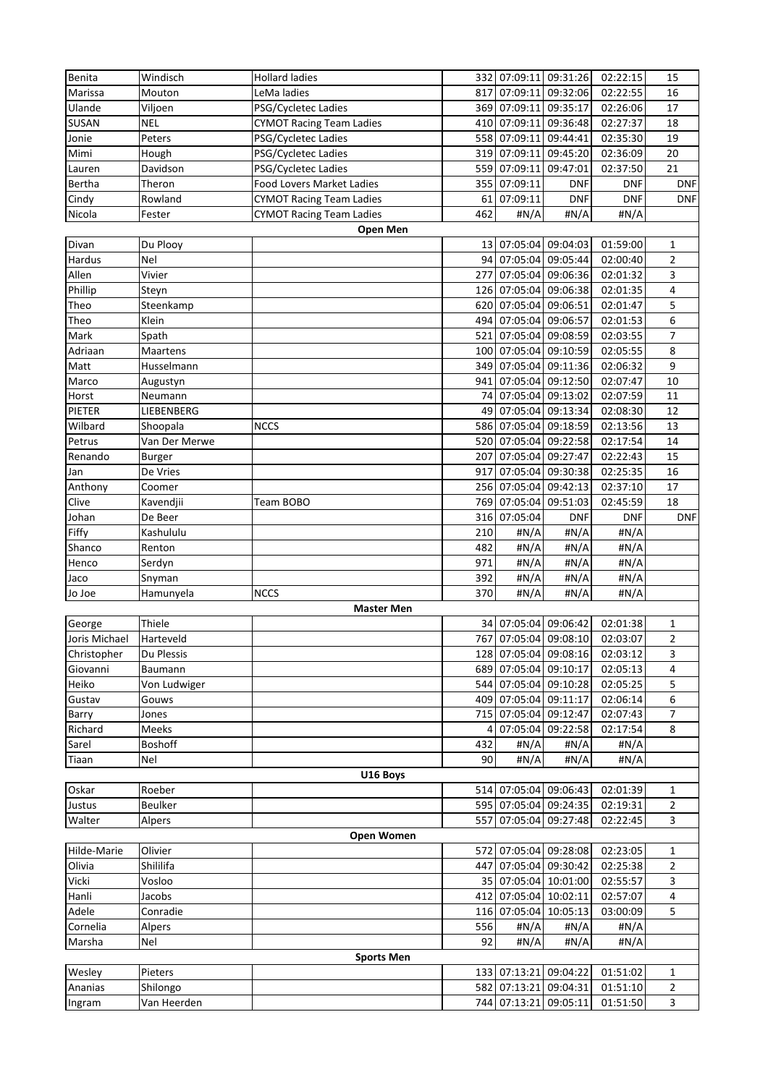| Benita        | Windisch       | <b>Hollard ladies</b>           |     | 332 07:09:11 09:31:26 |                       | 02:22:15   | 15             |
|---------------|----------------|---------------------------------|-----|-----------------------|-----------------------|------------|----------------|
| Marissa       | Mouton         | LeMa ladies                     | 817 | 07:09:11              | 09:32:06              | 02:22:55   | 16             |
| Ulande        | Viljoen        | PSG/Cycletec Ladies             |     | 369 07:09:11 09:35:17 |                       | 02:26:06   | 17             |
| SUSAN         | <b>NEL</b>     | <b>CYMOT Racing Team Ladies</b> | 410 | 07:09:11 09:36:48     |                       | 02:27:37   | 18             |
| Jonie         | Peters         | PSG/Cycletec Ladies             |     | 558 07:09:11 09:44:41 |                       | 02:35:30   | 19             |
| Mimi          | Hough          | PSG/Cycletec Ladies             | 319 | 07:09:11 09:45:20     |                       | 02:36:09   | 20             |
| Lauren        | Davidson       | PSG/Cycletec Ladies             | 559 | 07:09:11 09:47:01     |                       | 02:37:50   | 21             |
|               |                |                                 |     |                       |                       |            |                |
| Bertha        | Theron         | Food Lovers Market Ladies       | 355 | 07:09:11              | <b>DNF</b>            | <b>DNF</b> | <b>DNF</b>     |
| Cindy         | Rowland        | <b>CYMOT Racing Team Ladies</b> | 61  | 07:09:11              | <b>DNF</b>            | <b>DNF</b> | <b>DNF</b>     |
| Nicola        | Fester         | <b>CYMOT Racing Team Ladies</b> | 462 | #N/A                  | #N/A                  | #N/A       |                |
|               |                | Open Men                        |     |                       |                       |            |                |
| Divan         | Du Plooy       |                                 |     | 13 07:05:04 09:04:03  |                       | 01:59:00   | $\mathbf{1}$   |
| Hardus        | Nel            |                                 | 94  | 07:05:04 09:05:44     |                       | 02:00:40   | 2              |
| Allen         | Vivier         |                                 | 277 | 07:05:04 09:06:36     |                       | 02:01:32   | 3              |
| Phillip       | Steyn          |                                 |     | 126 07:05:04 09:06:38 |                       | 02:01:35   | 4              |
| Theo          | Steenkamp      |                                 |     | 620 07:05:04 09:06:51 |                       | 02:01:47   | 5              |
|               | Klein          |                                 |     | 494 07:05:04 09:06:57 |                       | 02:01:53   | 6              |
| Theo          |                |                                 |     |                       |                       |            |                |
| Mark          | Spath          |                                 | 521 | 07:05:04 09:08:59     |                       | 02:03:55   | $\overline{7}$ |
| Adriaan       | Maartens       |                                 |     | 100 07:05:04 09:10:59 |                       | 02:05:55   | 8              |
| Matt          | Husselmann     |                                 |     | 349 07:05:04 09:11:36 |                       | 02:06:32   | 9              |
| Marco         | Augustyn       |                                 | 941 | 07:05:04 09:12:50     |                       | 02:07:47   | 10             |
| Horst         | Neumann        |                                 | 74  | 07:05:04 09:13:02     |                       | 02:07:59   | 11             |
| PIETER        | LIEBENBERG     |                                 |     | 49 07:05:04 09:13:34  |                       | 02:08:30   | 12             |
| Wilbard       | Shoopala       | <b>NCCS</b>                     |     | 586 07:05:04 09:18:59 |                       | 02:13:56   | 13             |
| Petrus        | Van Der Merwe  |                                 |     | 520 07:05:04 09:22:58 |                       | 02:17:54   | 14             |
|               |                |                                 |     |                       |                       |            |                |
| Renando       | <b>Burger</b>  |                                 | 207 | 07:05:04 09:27:47     |                       | 02:22:43   | 15             |
| Jan           | De Vries       |                                 | 917 | 07:05:04              | 09:30:38              | 02:25:35   | 16             |
| Anthony       | Coomer         |                                 |     | 256 07:05:04          | 09:42:13              | 02:37:10   | 17             |
| Clive         | Kavendjii      | Team BOBO                       | 769 | 07:05:04              | 09:51:03              | 02:45:59   | 18             |
| Johan         | De Beer        |                                 | 316 | 07:05:04              | <b>DNF</b>            | <b>DNF</b> | <b>DNF</b>     |
|               |                |                                 |     |                       |                       |            |                |
| Fiffy         | Kashululu      |                                 | 210 | #N/A                  | #N/A                  | H N/A      |                |
|               |                |                                 |     |                       |                       |            |                |
| Shanco        | Renton         |                                 | 482 | #N/A                  | #N/A                  | #N/A       |                |
| Henco         | Serdyn         |                                 | 971 | #N/A                  | #N/A                  | #N/A       |                |
| Jaco          | Snyman         |                                 | 392 | #N/A                  | #N/A                  | # $N/A$    |                |
| Jo Joe        | Hamunyela      | <b>NCCS</b>                     | 370 | H N/A                 | #N/A                  | #N/A       |                |
|               |                | <b>Master Men</b>               |     |                       |                       |            |                |
| George        | Thiele         |                                 |     | 34 07:05:04 09:06:42  |                       | 02:01:38   | $\mathbf{1}$   |
| Joris Michael | Harteveld      |                                 |     |                       | 767 07:05:04 09:08:10 | 02:03:07   | $\overline{2}$ |
| Christopher   | Du Plessis     |                                 |     | 128 07:05:04 09:08:16 |                       | 02:03:12   | 3              |
| Giovanni      | Baumann        |                                 |     | 689 07:05:04 09:10:17 |                       | 02:05:13   | 4              |
| Heiko         | Von Ludwiger   |                                 |     | 544 07:05:04 09:10:28 |                       | 02:05:25   | 5              |
|               |                |                                 |     |                       |                       |            | 6              |
| Gustav        | Gouws          |                                 |     | 409 07:05:04 09:11:17 |                       | 02:06:14   |                |
| Barry         | Jones          |                                 |     | 715 07:05:04 09:12:47 |                       | 02:07:43   | 7              |
| Richard       | <b>Meeks</b>   |                                 |     |                       | 07:05:04 09:22:58     | 02:17:54   | 8              |
| Sarel         | <b>Boshoff</b> |                                 | 432 | #N/A                  | #N/A                  | #N/A       |                |
| Tiaan         | Nel            |                                 | 90  | # $N/A$               | # $N/A$               | H N/A      |                |
|               |                | U16 Boys                        |     |                       |                       |            |                |
| Oskar         | Roeber         |                                 |     | 514 07:05:04 09:06:43 |                       | 02:01:39   | 1              |
| Justus        | <b>Beulker</b> |                                 |     | 595 07:05:04 09:24:35 |                       | 02:19:31   | 2              |
| Walter        | Alpers         |                                 |     | 557 07:05:04 09:27:48 |                       | 02:22:45   | 3              |
|               |                | <b>Open Women</b>               |     |                       |                       |            |                |
| Hilde-Marie   | Olivier        |                                 |     | 572 07:05:04 09:28:08 |                       | 02:23:05   | 1              |
|               |                |                                 | 447 |                       |                       |            |                |
| Olivia        | Shililifa      |                                 |     |                       | 07:05:04 09:30:42     | 02:25:38   | 2              |
| Vicki         | Vosloo         |                                 |     | 35 07:05:04 10:01:00  |                       | 02:55:57   | 3              |
| Hanli         | Jacobs         |                                 | 412 | 07:05:04 10:02:11     |                       | 02:57:07   | 4              |
| Adele         | Conradie       |                                 |     | 116 07:05:04 10:05:13 |                       | 03:00:09   | 5              |
| Cornelia      | Alpers         |                                 | 556 | #N/A                  | #N/A                  | #N/A       |                |
| Marsha        | Nel            |                                 | 92  | # $N/A$               | #N/A                  | #N/A       |                |
|               |                | <b>Sports Men</b>               |     |                       |                       |            |                |
| Wesley        | Pieters        |                                 |     | 133 07:13:21 09:04:22 |                       | 01:51:02   | 1              |
| Ananias       | Shilongo       |                                 | 582 | 07:13:21 09:04:31     |                       | 01:51:10   | 2              |